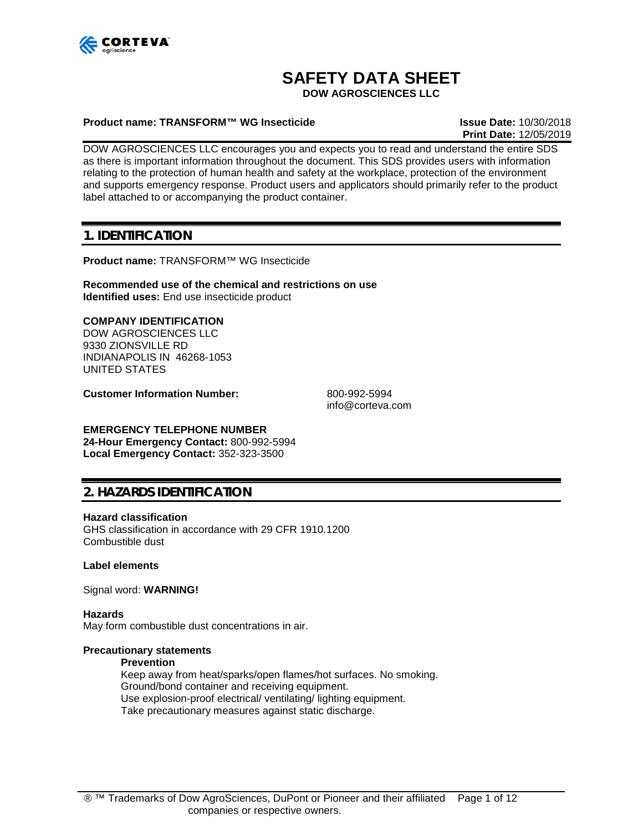

# **SAFETY DATA SHEET**

**DOW AGROSCIENCES LLC**

### **Product name: TRANSFORM™ WG Insecticide Issue Date:** 10/30/2018

**Print Date:** 12/05/2019

DOW AGROSCIENCES LLC encourages you and expects you to read and understand the entire SDS as there is important information throughout the document. This SDS provides users with information relating to the protection of human health and safety at the workplace, protection of the environment and supports emergency response. Product users and applicators should primarily refer to the product label attached to or accompanying the product container.

# **1. IDENTIFICATION**

**Product name:** TRANSFORM™ WG Insecticide

**Recommended use of the chemical and restrictions on use Identified uses:** End use insecticide product

### **COMPANY IDENTIFICATION**

DOW AGROSCIENCES LLC 9330 ZIONSVILLE RD INDIANAPOLIS IN 46268-1053 UNITED STATES

**Customer Information Number:** 800-992-5994

info@corteva.com

### **EMERGENCY TELEPHONE NUMBER**

**24-Hour Emergency Contact:** 800-992-5994 **Local Emergency Contact:** 352-323-3500

# **2. HAZARDS IDENTIFICATION**

#### **Hazard classification**

GHS classification in accordance with 29 CFR 1910.1200 Combustible dust

### **Label elements**

Signal word: **WARNING!**

**Hazards** May form combustible dust concentrations in air.

### **Precautionary statements**

#### **Prevention**

Keep away from heat/sparks/open flames/hot surfaces. No smoking. Ground/bond container and receiving equipment. Use explosion-proof electrical/ ventilating/ lighting equipment. Take precautionary measures against static discharge.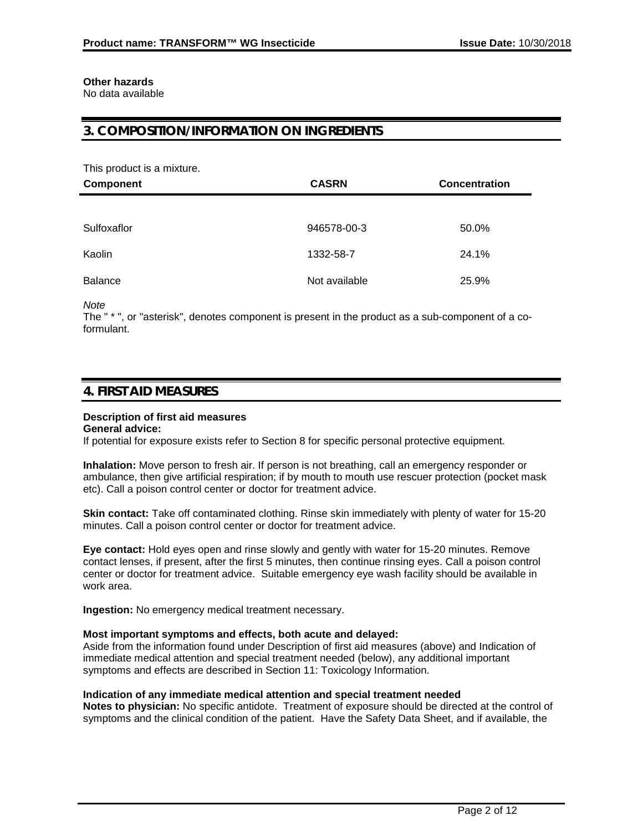# **Other hazards**

No data available

# **3. COMPOSITION/INFORMATION ON INGREDIENTS**

This product is a mixture.

| <b>Component</b> | <b>CASRN</b>  | <b>Concentration</b> |
|------------------|---------------|----------------------|
|                  |               |                      |
| Sulfoxaflor      | 946578-00-3   | 50.0%                |
| Kaolin           | 1332-58-7     | 24.1%                |
| <b>Balance</b>   | Not available | 25.9%                |

*Note*

The " \* ", or "asterisk", denotes component is present in the product as a sub-component of a coformulant.

# **4. FIRST AID MEASURES**

# **Description of first aid measures**

**General advice:**

If potential for exposure exists refer to Section 8 for specific personal protective equipment.

**Inhalation:** Move person to fresh air. If person is not breathing, call an emergency responder or ambulance, then give artificial respiration; if by mouth to mouth use rescuer protection (pocket mask etc). Call a poison control center or doctor for treatment advice.

**Skin contact:** Take off contaminated clothing. Rinse skin immediately with plenty of water for 15-20 minutes. Call a poison control center or doctor for treatment advice.

**Eye contact:** Hold eyes open and rinse slowly and gently with water for 15-20 minutes. Remove contact lenses, if present, after the first 5 minutes, then continue rinsing eyes. Call a poison control center or doctor for treatment advice. Suitable emergency eye wash facility should be available in work area.

**Ingestion:** No emergency medical treatment necessary.

### **Most important symptoms and effects, both acute and delayed:**

Aside from the information found under Description of first aid measures (above) and Indication of immediate medical attention and special treatment needed (below), any additional important symptoms and effects are described in Section 11: Toxicology Information.

### **Indication of any immediate medical attention and special treatment needed**

**Notes to physician:** No specific antidote. Treatment of exposure should be directed at the control of symptoms and the clinical condition of the patient. Have the Safety Data Sheet, and if available, the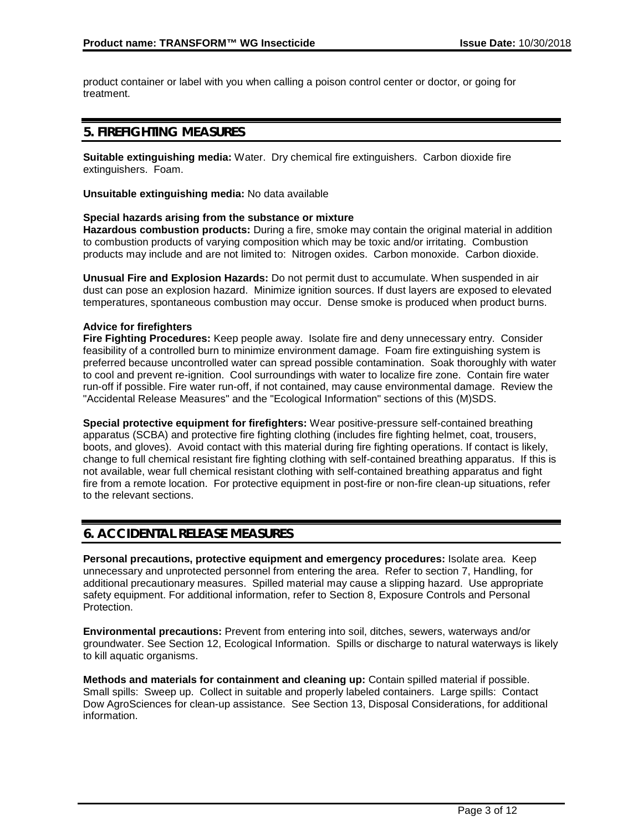product container or label with you when calling a poison control center or doctor, or going for treatment.

# **5. FIREFIGHTING MEASURES**

**Suitable extinguishing media:** Water. Dry chemical fire extinguishers. Carbon dioxide fire extinguishers. Foam.

**Unsuitable extinguishing media:** No data available

### **Special hazards arising from the substance or mixture**

**Hazardous combustion products:** During a fire, smoke may contain the original material in addition to combustion products of varying composition which may be toxic and/or irritating. Combustion products may include and are not limited to: Nitrogen oxides. Carbon monoxide. Carbon dioxide.

**Unusual Fire and Explosion Hazards:** Do not permit dust to accumulate. When suspended in air dust can pose an explosion hazard. Minimize ignition sources. If dust layers are exposed to elevated temperatures, spontaneous combustion may occur. Dense smoke is produced when product burns.

### **Advice for firefighters**

**Fire Fighting Procedures:** Keep people away. Isolate fire and deny unnecessary entry. Consider feasibility of a controlled burn to minimize environment damage. Foam fire extinguishing system is preferred because uncontrolled water can spread possible contamination. Soak thoroughly with water to cool and prevent re-ignition. Cool surroundings with water to localize fire zone. Contain fire water run-off if possible. Fire water run-off, if not contained, may cause environmental damage. Review the "Accidental Release Measures" and the "Ecological Information" sections of this (M)SDS.

**Special protective equipment for firefighters:** Wear positive-pressure self-contained breathing apparatus (SCBA) and protective fire fighting clothing (includes fire fighting helmet, coat, trousers, boots, and gloves). Avoid contact with this material during fire fighting operations. If contact is likely, change to full chemical resistant fire fighting clothing with self-contained breathing apparatus. If this is not available, wear full chemical resistant clothing with self-contained breathing apparatus and fight fire from a remote location. For protective equipment in post-fire or non-fire clean-up situations, refer to the relevant sections.

# **6. ACCIDENTAL RELEASE MEASURES**

**Personal precautions, protective equipment and emergency procedures:** Isolate area. Keep unnecessary and unprotected personnel from entering the area. Refer to section 7, Handling, for additional precautionary measures. Spilled material may cause a slipping hazard. Use appropriate safety equipment. For additional information, refer to Section 8, Exposure Controls and Personal Protection.

**Environmental precautions:** Prevent from entering into soil, ditches, sewers, waterways and/or groundwater. See Section 12, Ecological Information. Spills or discharge to natural waterways is likely to kill aquatic organisms.

**Methods and materials for containment and cleaning up:** Contain spilled material if possible. Small spills: Sweep up. Collect in suitable and properly labeled containers. Large spills: Contact Dow AgroSciences for clean-up assistance. See Section 13, Disposal Considerations, for additional information.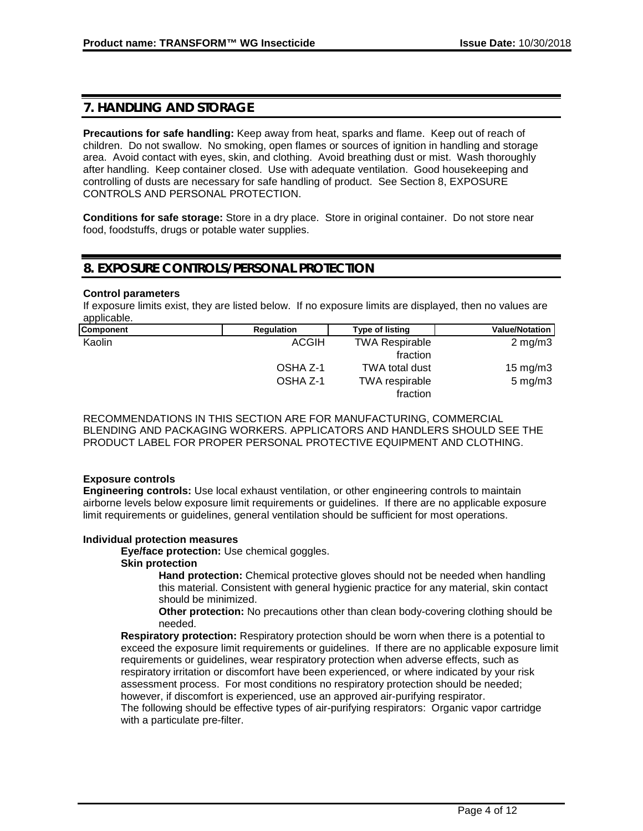# **7. HANDLING AND STORAGE**

**Precautions for safe handling:** Keep away from heat, sparks and flame. Keep out of reach of children. Do not swallow. No smoking, open flames or sources of ignition in handling and storage area. Avoid contact with eyes, skin, and clothing. Avoid breathing dust or mist. Wash thoroughly after handling. Keep container closed. Use with adequate ventilation. Good housekeeping and controlling of dusts are necessary for safe handling of product. See Section 8, EXPOSURE CONTROLS AND PERSONAL PROTECTION.

**Conditions for safe storage:** Store in a dry place. Store in original container. Do not store near food, foodstuffs, drugs or potable water supplies.

# **8. EXPOSURE CONTROLS/PERSONAL PROTECTION**

### **Control parameters**

If exposure limits exist, they are listed below. If no exposure limits are displayed, then no values are applicable.

| Component | <b>Regulation</b> | <b>Type of listing</b> | <b>Value/Notation</b> |
|-----------|-------------------|------------------------|-----------------------|
| Kaolin    | ACGIH             | <b>TWA Respirable</b>  | $2 \text{ mg/m}$ 3    |
|           |                   | fraction               |                       |
|           | OSHA Z-1          | <b>TWA total dust</b>  | $15 \text{ mg/m}$     |
|           | OSHA Z-1          | TWA respirable         | $5 \text{ mg/m}$ 3    |
|           |                   | fraction               |                       |

RECOMMENDATIONS IN THIS SECTION ARE FOR MANUFACTURING, COMMERCIAL BLENDING AND PACKAGING WORKERS. APPLICATORS AND HANDLERS SHOULD SEE THE PRODUCT LABEL FOR PROPER PERSONAL PROTECTIVE EQUIPMENT AND CLOTHING.

### **Exposure controls**

**Engineering controls:** Use local exhaust ventilation, or other engineering controls to maintain airborne levels below exposure limit requirements or guidelines. If there are no applicable exposure limit requirements or guidelines, general ventilation should be sufficient for most operations.

### **Individual protection measures**

**Eye/face protection:** Use chemical goggles.

### **Skin protection**

**Hand protection:** Chemical protective gloves should not be needed when handling this material. Consistent with general hygienic practice for any material, skin contact should be minimized.

**Other protection:** No precautions other than clean body-covering clothing should be needed.

**Respiratory protection:** Respiratory protection should be worn when there is a potential to exceed the exposure limit requirements or guidelines. If there are no applicable exposure limit requirements or guidelines, wear respiratory protection when adverse effects, such as respiratory irritation or discomfort have been experienced, or where indicated by your risk assessment process. For most conditions no respiratory protection should be needed; however, if discomfort is experienced, use an approved air-purifying respirator.

The following should be effective types of air-purifying respirators: Organic vapor cartridge with a particulate pre-filter.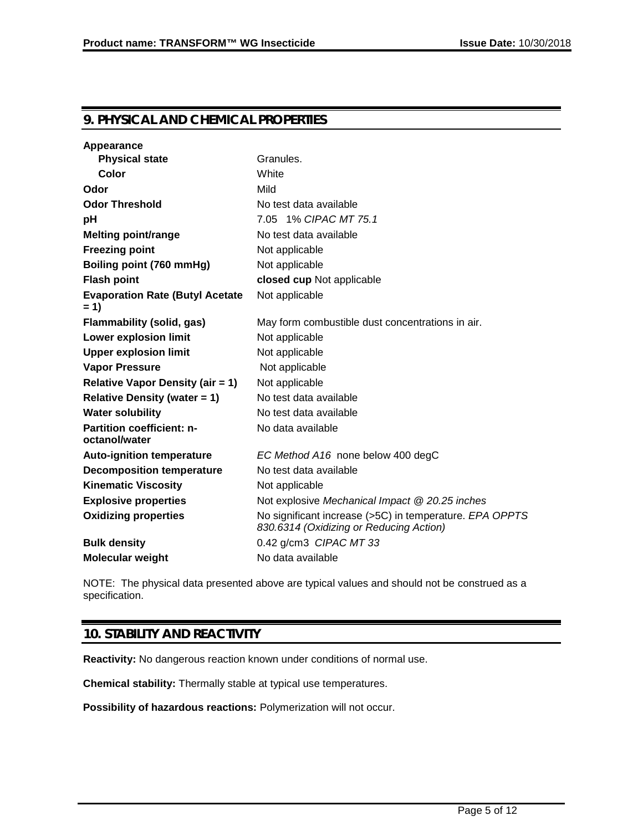# **9. PHYSICAL AND CHEMICAL PROPERTIES**

| Appearance                                        |                                                                                                    |
|---------------------------------------------------|----------------------------------------------------------------------------------------------------|
| <b>Physical state</b>                             | Granules.                                                                                          |
| Color                                             | White                                                                                              |
| Odor                                              | Mild                                                                                               |
| <b>Odor Threshold</b>                             | No test data available                                                                             |
| рH                                                | 7.05 1% CIPAC MT 75.1                                                                              |
| <b>Melting point/range</b>                        | No test data available                                                                             |
| <b>Freezing point</b>                             | Not applicable                                                                                     |
| Boiling point (760 mmHg)                          | Not applicable                                                                                     |
| <b>Flash point</b>                                | closed cup Not applicable                                                                          |
| <b>Evaporation Rate (Butyl Acetate</b><br>$= 1$   | Not applicable                                                                                     |
| <b>Flammability (solid, gas)</b>                  | May form combustible dust concentrations in air.                                                   |
| <b>Lower explosion limit</b>                      | Not applicable                                                                                     |
| <b>Upper explosion limit</b>                      | Not applicable                                                                                     |
| <b>Vapor Pressure</b>                             | Not applicable                                                                                     |
| <b>Relative Vapor Density (air = 1)</b>           | Not applicable                                                                                     |
| <b>Relative Density (water = 1)</b>               | No test data available                                                                             |
| <b>Water solubility</b>                           | No test data available                                                                             |
| <b>Partition coefficient: n-</b><br>octanol/water | No data available                                                                                  |
| <b>Auto-ignition temperature</b>                  | EC Method A16 none below 400 degC                                                                  |
| <b>Decomposition temperature</b>                  | No test data available                                                                             |
| <b>Kinematic Viscosity</b>                        | Not applicable                                                                                     |
| <b>Explosive properties</b>                       | Not explosive Mechanical Impact @ 20.25 inches                                                     |
| <b>Oxidizing properties</b>                       | No significant increase (>5C) in temperature. EPA OPPTS<br>830.6314 (Oxidizing or Reducing Action) |
| <b>Bulk density</b>                               | 0.42 g/cm3 CIPAC MT 33                                                                             |
| <b>Molecular weight</b>                           | No data available                                                                                  |

NOTE: The physical data presented above are typical values and should not be construed as a specification.

# **10. STABILITY AND REACTIVITY**

**Reactivity:** No dangerous reaction known under conditions of normal use.

**Chemical stability:** Thermally stable at typical use temperatures.

**Possibility of hazardous reactions:** Polymerization will not occur.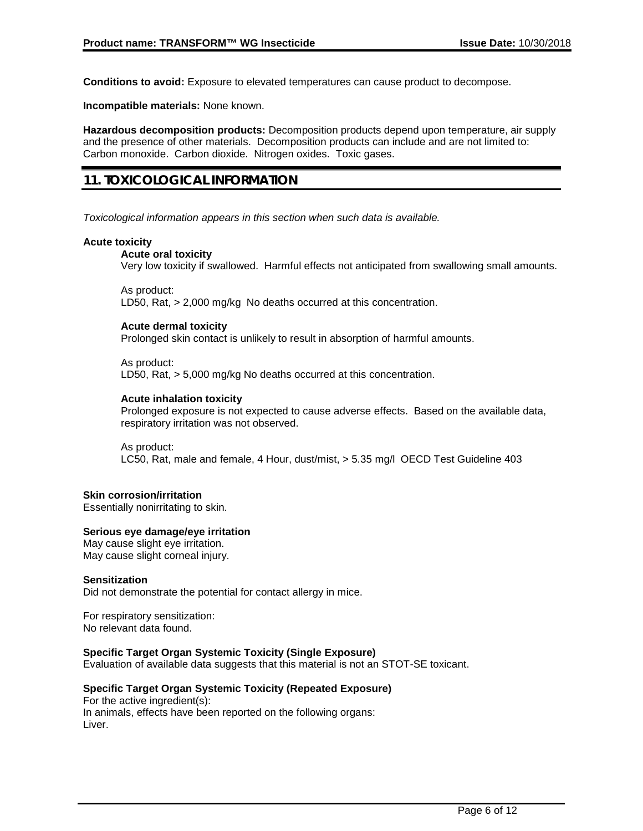**Conditions to avoid:** Exposure to elevated temperatures can cause product to decompose.

**Incompatible materials:** None known.

**Hazardous decomposition products:** Decomposition products depend upon temperature, air supply and the presence of other materials. Decomposition products can include and are not limited to: Carbon monoxide. Carbon dioxide. Nitrogen oxides. Toxic gases.

# **11. TOXICOLOGICAL INFORMATION**

*Toxicological information appears in this section when such data is available.*

### **Acute toxicity**

### **Acute oral toxicity**

Very low toxicity if swallowed. Harmful effects not anticipated from swallowing small amounts.

As product: LD50, Rat, > 2,000 mg/kg No deaths occurred at this concentration.

### **Acute dermal toxicity**

Prolonged skin contact is unlikely to result in absorption of harmful amounts.

As product: LD50, Rat, > 5,000 mg/kg No deaths occurred at this concentration.

### **Acute inhalation toxicity**

Prolonged exposure is not expected to cause adverse effects. Based on the available data, respiratory irritation was not observed.

As product: LC50, Rat, male and female, 4 Hour, dust/mist, > 5.35 mg/l OECD Test Guideline 403

### **Skin corrosion/irritation**

Essentially nonirritating to skin.

### **Serious eye damage/eye irritation**

May cause slight eye irritation. May cause slight corneal injury.

### **Sensitization**

Did not demonstrate the potential for contact allergy in mice.

For respiratory sensitization: No relevant data found.

### **Specific Target Organ Systemic Toxicity (Single Exposure)**

Evaluation of available data suggests that this material is not an STOT-SE toxicant.

### **Specific Target Organ Systemic Toxicity (Repeated Exposure)**

For the active ingredient(s): In animals, effects have been reported on the following organs: Liver.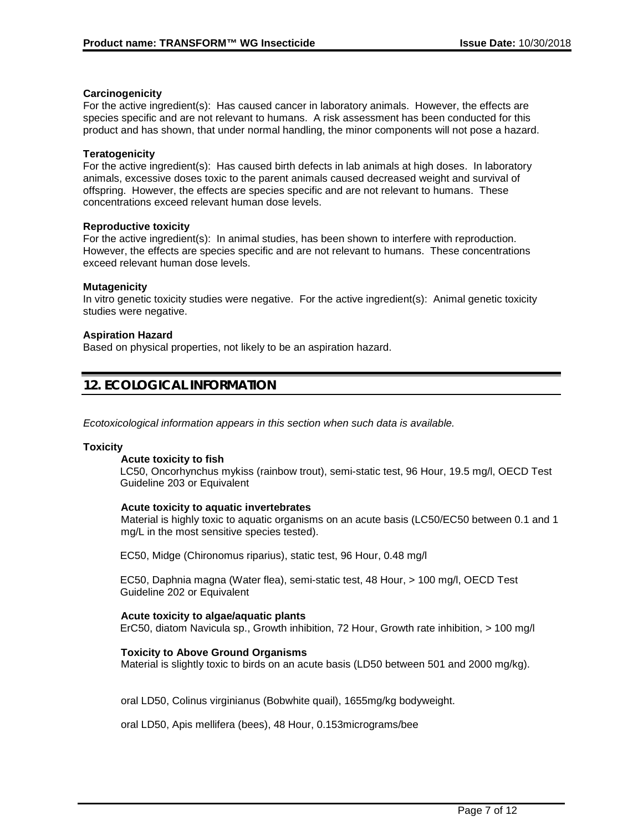### **Carcinogenicity**

For the active ingredient(s): Has caused cancer in laboratory animals. However, the effects are species specific and are not relevant to humans. A risk assessment has been conducted for this product and has shown, that under normal handling, the minor components will not pose a hazard.

### **Teratogenicity**

For the active ingredient(s): Has caused birth defects in lab animals at high doses. In laboratory animals, excessive doses toxic to the parent animals caused decreased weight and survival of offspring. However, the effects are species specific and are not relevant to humans. These concentrations exceed relevant human dose levels.

### **Reproductive toxicity**

For the active ingredient(s): In animal studies, has been shown to interfere with reproduction. However, the effects are species specific and are not relevant to humans. These concentrations exceed relevant human dose levels.

### **Mutagenicity**

In vitro genetic toxicity studies were negative. For the active ingredient(s): Animal genetic toxicity studies were negative.

### **Aspiration Hazard**

Based on physical properties, not likely to be an aspiration hazard.

# **12. ECOLOGICAL INFORMATION**

*Ecotoxicological information appears in this section when such data is available.*

#### **Toxicity**

#### **Acute toxicity to fish**

LC50, Oncorhynchus mykiss (rainbow trout), semi-static test, 96 Hour, 19.5 mg/l, OECD Test Guideline 203 or Equivalent

#### **Acute toxicity to aquatic invertebrates**

Material is highly toxic to aquatic organisms on an acute basis (LC50/EC50 between 0.1 and 1 mg/L in the most sensitive species tested).

EC50, Midge (Chironomus riparius), static test, 96 Hour, 0.48 mg/l

EC50, Daphnia magna (Water flea), semi-static test, 48 Hour, > 100 mg/l, OECD Test Guideline 202 or Equivalent

### **Acute toxicity to algae/aquatic plants**

ErC50, diatom Navicula sp., Growth inhibition, 72 Hour, Growth rate inhibition, > 100 mg/l

#### **Toxicity to Above Ground Organisms**

Material is slightly toxic to birds on an acute basis (LD50 between 501 and 2000 mg/kg).

oral LD50, Colinus virginianus (Bobwhite quail), 1655mg/kg bodyweight.

oral LD50, Apis mellifera (bees), 48 Hour, 0.153micrograms/bee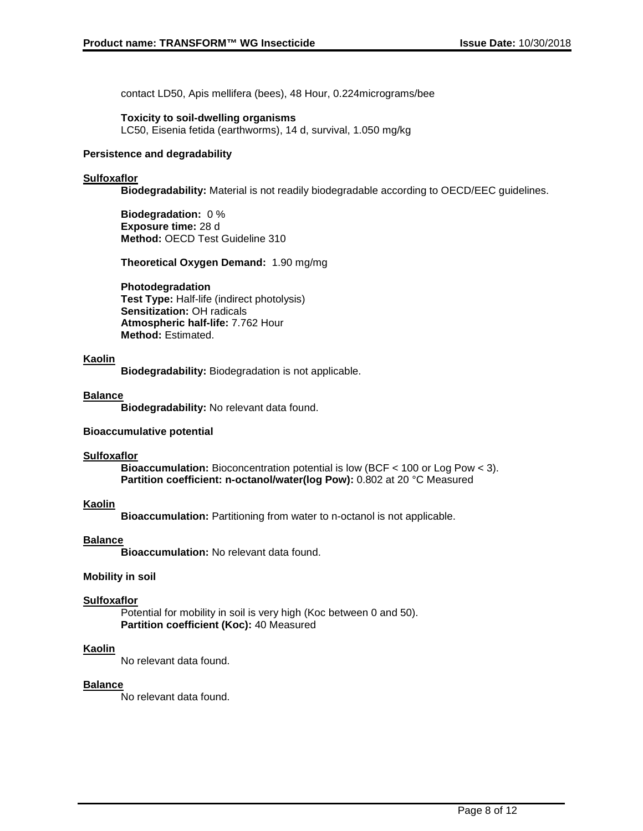contact LD50, Apis mellifera (bees), 48 Hour, 0.224micrograms/bee

### **Toxicity to soil-dwelling organisms**

LC50, Eisenia fetida (earthworms), 14 d, survival, 1.050 mg/kg

### **Persistence and degradability**

### **Sulfoxaflor**

**Biodegradability:** Material is not readily biodegradable according to OECD/EEC guidelines.

**Biodegradation:** 0 % **Exposure time:** 28 d **Method:** OECD Test Guideline 310

**Theoretical Oxygen Demand:** 1.90 mg/mg

### **Photodegradation**

**Test Type:** Half-life (indirect photolysis) **Sensitization:** OH radicals **Atmospheric half-life:** 7.762 Hour **Method:** Estimated.

### **Kaolin**

**Biodegradability:** Biodegradation is not applicable.

### **Balance**

**Biodegradability:** No relevant data found.

### **Bioaccumulative potential**

### **Sulfoxaflor**

**Bioaccumulation:** Bioconcentration potential is low (BCF < 100 or Log Pow < 3). **Partition coefficient: n-octanol/water(log Pow):** 0.802 at 20 °C Measured

### **Kaolin**

**Bioaccumulation:** Partitioning from water to n-octanol is not applicable.

### **Balance**

**Bioaccumulation:** No relevant data found.

### **Mobility in soil**

#### **Sulfoxaflor**

Potential for mobility in soil is very high (Koc between 0 and 50). **Partition coefficient (Koc):** 40 Measured

### **Kaolin**

No relevant data found.

#### **Balance**

No relevant data found.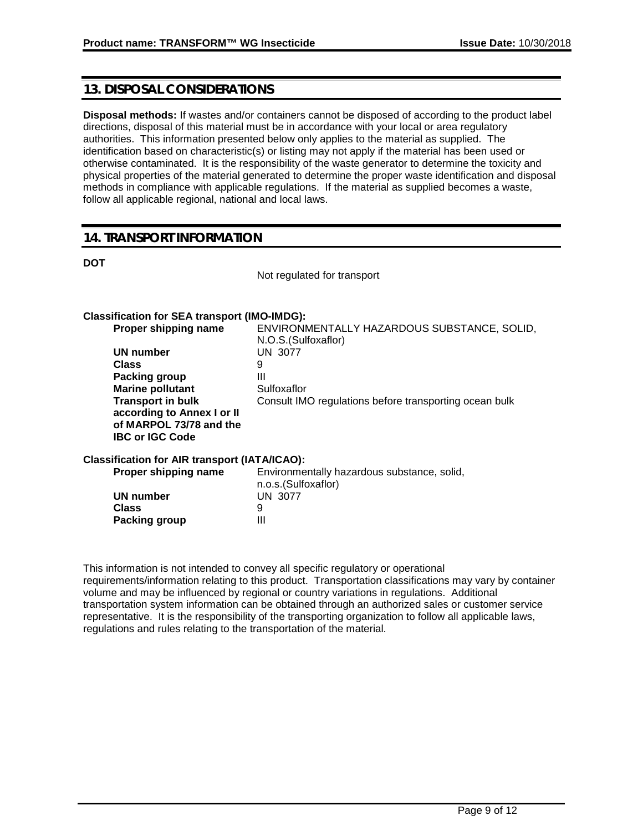# **13. DISPOSAL CONSIDERATIONS**

**Disposal methods:** If wastes and/or containers cannot be disposed of according to the product label directions, disposal of this material must be in accordance with your local or area regulatory authorities. This information presented below only applies to the material as supplied. The identification based on characteristic(s) or listing may not apply if the material has been used or otherwise contaminated. It is the responsibility of the waste generator to determine the toxicity and physical properties of the material generated to determine the proper waste identification and disposal methods in compliance with applicable regulations. If the material as supplied becomes a waste, follow all applicable regional, national and local laws.

# **14. TRANSPORT INFORMATION**

**DOT**

Not regulated for transport

### **Classification for SEA transport (IMO-IMDG):**

| Proper shipping name                                                                                        | ENVIRONMENTALLY HAZARDOUS SUBSTANCE, SOLID,<br>N.O.S. (Sulfoxaflor) |
|-------------------------------------------------------------------------------------------------------------|---------------------------------------------------------------------|
| UN number                                                                                                   | UN 3077                                                             |
| Class                                                                                                       | 9                                                                   |
| Packing group                                                                                               | Ш                                                                   |
| <b>Marine pollutant</b>                                                                                     | Sulfoxaflor                                                         |
| <b>Transport in bulk</b><br>according to Annex I or II<br>of MARPOL 73/78 and the<br><b>IBC or IGC Code</b> | Consult IMO regulations before transporting ocean bulk              |
| Classification for AIR transport (IATA/ICAO):                                                               |                                                                     |
| Proper shipping name                                                                                        | Environmentally hazardous substance, solid,<br>n.o.s.(Sulfoxaflor)  |
|                                                                                                             |                                                                     |

|               | n.o.s.(Sulfoxaflor) |
|---------------|---------------------|
| UN number     | UN 3077             |
| Class         |                     |
| Packing group | Ш                   |

This information is not intended to convey all specific regulatory or operational requirements/information relating to this product. Transportation classifications may vary by container volume and may be influenced by regional or country variations in regulations. Additional transportation system information can be obtained through an authorized sales or customer service representative. It is the responsibility of the transporting organization to follow all applicable laws, regulations and rules relating to the transportation of the material.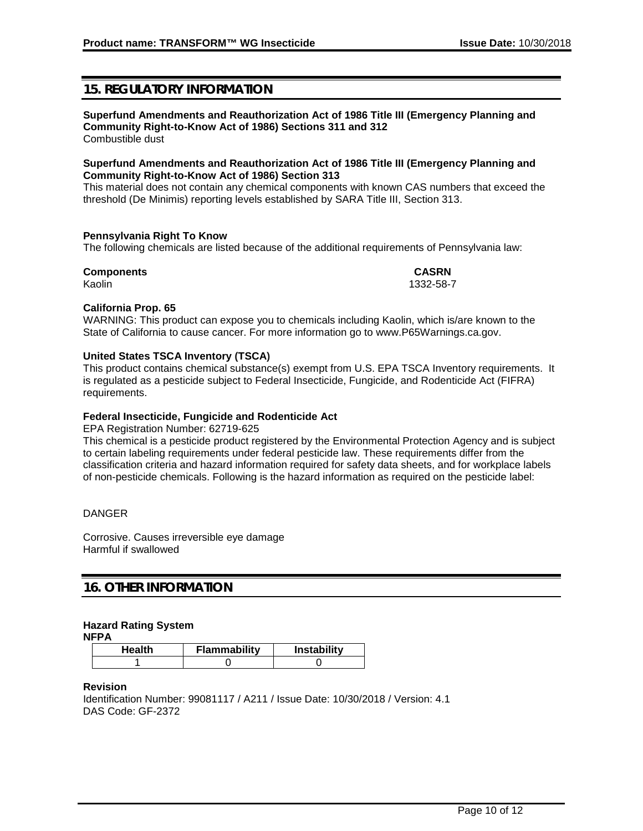# **15. REGULATORY INFORMATION**

#### **Superfund Amendments and Reauthorization Act of 1986 Title III (Emergency Planning and Community Right-to-Know Act of 1986) Sections 311 and 312** Combustible dust

### **Superfund Amendments and Reauthorization Act of 1986 Title III (Emergency Planning and Community Right-to-Know Act of 1986) Section 313**

This material does not contain any chemical components with known CAS numbers that exceed the threshold (De Minimis) reporting levels established by SARA Title III, Section 313.

### **Pennsylvania Right To Know**

The following chemicals are listed because of the additional requirements of Pennsylvania law:

# **Components CASRN**

Kaolin 1332-58-7

### **California Prop. 65**

WARNING: This product can expose you to chemicals including Kaolin, which is/are known to the State of California to cause cancer. For more information go to www.P65Warnings.ca.gov.

### **United States TSCA Inventory (TSCA)**

This product contains chemical substance(s) exempt from U.S. EPA TSCA Inventory requirements. It is regulated as a pesticide subject to Federal Insecticide, Fungicide, and Rodenticide Act (FIFRA) requirements.

### **Federal Insecticide, Fungicide and Rodenticide Act**

EPA Registration Number: 62719-625

This chemical is a pesticide product registered by the Environmental Protection Agency and is subject to certain labeling requirements under federal pesticide law. These requirements differ from the classification criteria and hazard information required for safety data sheets, and for workplace labels of non-pesticide chemicals. Following is the hazard information as required on the pesticide label:

### DANGER

Corrosive. Causes irreversible eye damage Harmful if swallowed

# **16. OTHER INFORMATION**

### **Hazard Rating System**

**NFPA**

| Health | Flammability | <b>Instability</b> |
|--------|--------------|--------------------|
|        |              |                    |

**Revision**

Identification Number: 99081117 / A211 / Issue Date: 10/30/2018 / Version: 4.1 DAS Code: GF-2372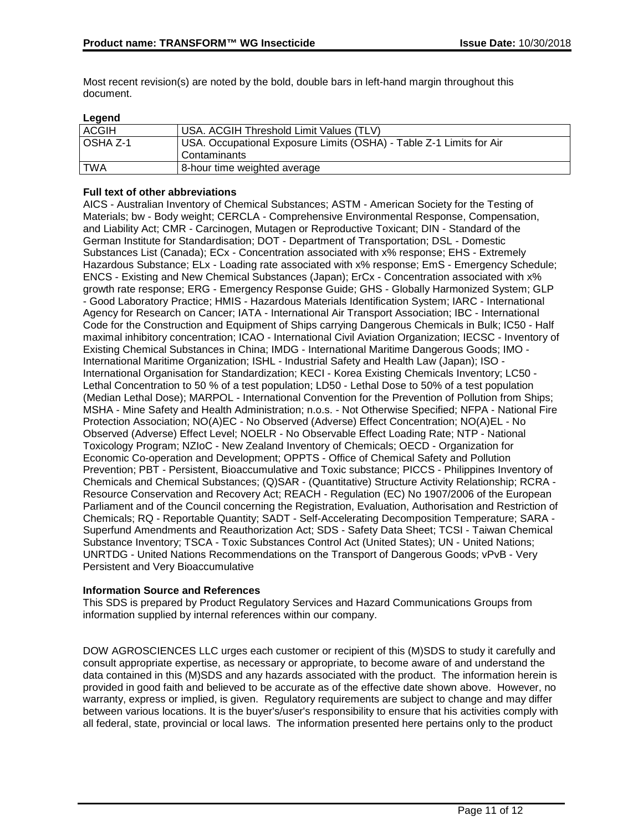Most recent revision(s) are noted by the bold, double bars in left-hand margin throughout this document.

### **Legend**

| <b>ACGIH</b>    | USA. ACGIH Threshold Limit Values (TLV)                             |
|-----------------|---------------------------------------------------------------------|
| <b>OSHA Z-1</b> | USA. Occupational Exposure Limits (OSHA) - Table Z-1 Limits for Air |
|                 | Contaminants                                                        |
| <b>TWA</b>      | 8-hour time weighted average                                        |

### **Full text of other abbreviations**

AICS - Australian Inventory of Chemical Substances; ASTM - American Society for the Testing of Materials; bw - Body weight; CERCLA - Comprehensive Environmental Response, Compensation, and Liability Act; CMR - Carcinogen, Mutagen or Reproductive Toxicant; DIN - Standard of the German Institute for Standardisation; DOT - Department of Transportation; DSL - Domestic Substances List (Canada); ECx - Concentration associated with x% response; EHS - Extremely Hazardous Substance; ELx - Loading rate associated with x% response; EmS - Emergency Schedule; ENCS - Existing and New Chemical Substances (Japan); ErCx - Concentration associated with x% growth rate response; ERG - Emergency Response Guide; GHS - Globally Harmonized System; GLP - Good Laboratory Practice; HMIS - Hazardous Materials Identification System; IARC - International Agency for Research on Cancer; IATA - International Air Transport Association; IBC - International Code for the Construction and Equipment of Ships carrying Dangerous Chemicals in Bulk; IC50 - Half maximal inhibitory concentration; ICAO - International Civil Aviation Organization; IECSC - Inventory of Existing Chemical Substances in China; IMDG - International Maritime Dangerous Goods; IMO - International Maritime Organization; ISHL - Industrial Safety and Health Law (Japan); ISO - International Organisation for Standardization; KECI - Korea Existing Chemicals Inventory; LC50 - Lethal Concentration to 50 % of a test population; LD50 - Lethal Dose to 50% of a test population (Median Lethal Dose); MARPOL - International Convention for the Prevention of Pollution from Ships; MSHA - Mine Safety and Health Administration; n.o.s. - Not Otherwise Specified; NFPA - National Fire Protection Association; NO(A)EC - No Observed (Adverse) Effect Concentration; NO(A)EL - No Observed (Adverse) Effect Level; NOELR - No Observable Effect Loading Rate; NTP - National Toxicology Program; NZIoC - New Zealand Inventory of Chemicals; OECD - Organization for Economic Co-operation and Development; OPPTS - Office of Chemical Safety and Pollution Prevention; PBT - Persistent, Bioaccumulative and Toxic substance; PICCS - Philippines Inventory of Chemicals and Chemical Substances; (Q)SAR - (Quantitative) Structure Activity Relationship; RCRA - Resource Conservation and Recovery Act; REACH - Regulation (EC) No 1907/2006 of the European Parliament and of the Council concerning the Registration, Evaluation, Authorisation and Restriction of Chemicals; RQ - Reportable Quantity; SADT - Self-Accelerating Decomposition Temperature; SARA - Superfund Amendments and Reauthorization Act; SDS - Safety Data Sheet; TCSI - Taiwan Chemical Substance Inventory; TSCA - Toxic Substances Control Act (United States); UN - United Nations; UNRTDG - United Nations Recommendations on the Transport of Dangerous Goods; vPvB - Very Persistent and Very Bioaccumulative

### **Information Source and References**

This SDS is prepared by Product Regulatory Services and Hazard Communications Groups from information supplied by internal references within our company.

DOW AGROSCIENCES LLC urges each customer or recipient of this (M)SDS to study it carefully and consult appropriate expertise, as necessary or appropriate, to become aware of and understand the data contained in this (M)SDS and any hazards associated with the product. The information herein is provided in good faith and believed to be accurate as of the effective date shown above. However, no warranty, express or implied, is given. Regulatory requirements are subject to change and may differ between various locations. It is the buyer's/user's responsibility to ensure that his activities comply with all federal, state, provincial or local laws. The information presented here pertains only to the product